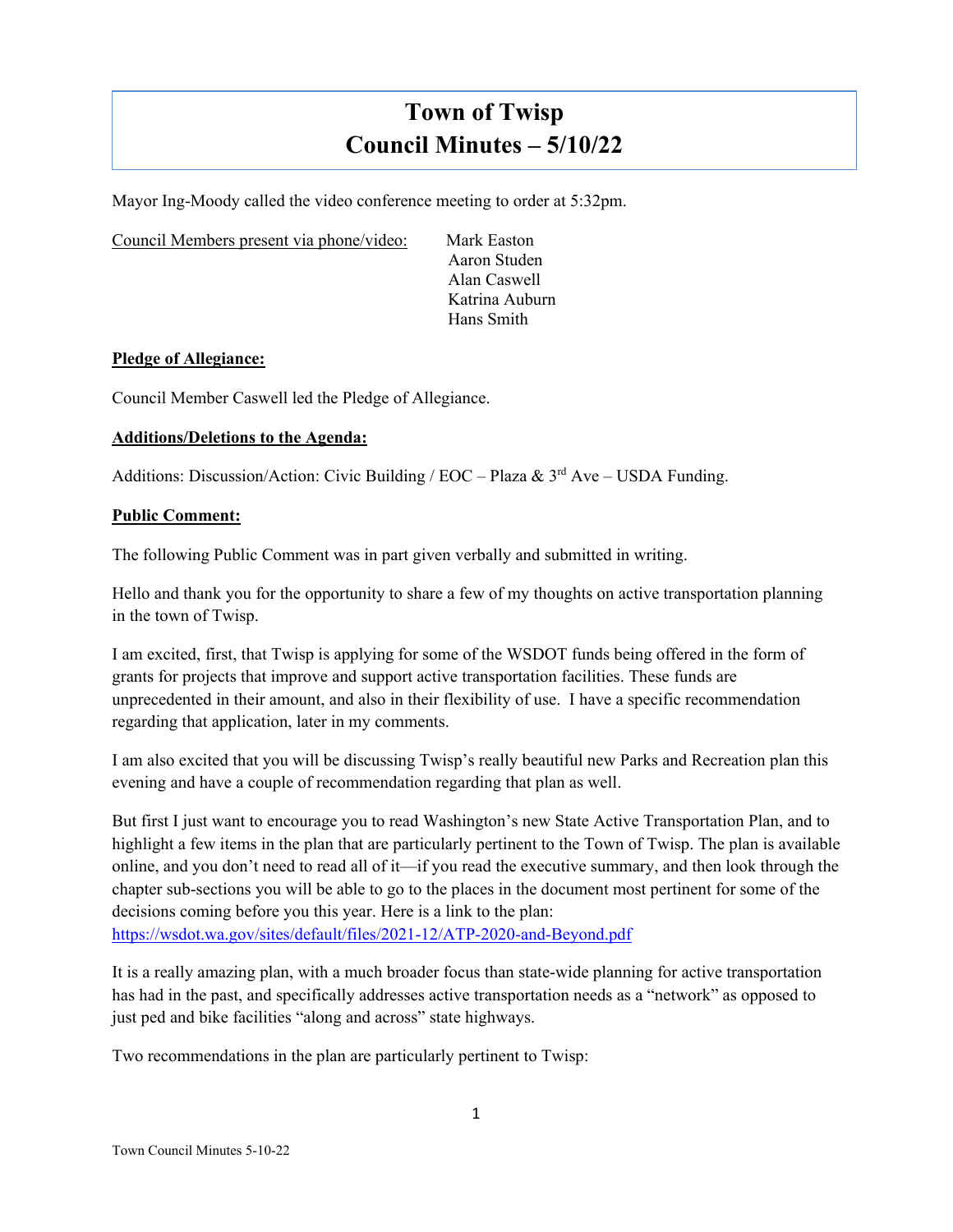# **Town of Twisp Council Minutes – 5/10/22**

Mayor Ing-Moody called the video conference meeting to order at 5:32pm.

Council Members present via phone/video: Mark Easton

Aaron Studen Alan Caswell Katrina Auburn Hans Smith

#### **Pledge of Allegiance:**

Council Member Caswell led the Pledge of Allegiance.

## **Additions/Deletions to the Agenda:**

Additions: Discussion/Action: Civic Building / EOC – Plaza &  $3<sup>rd</sup>$  Ave – USDA Funding.

#### **Public Comment:**

The following Public Comment was in part given verbally and submitted in writing.

Hello and thank you for the opportunity to share a few of my thoughts on active transportation planning in the town of Twisp.

I am excited, first, that Twisp is applying for some of the WSDOT funds being offered in the form of grants for projects that improve and support active transportation facilities. These funds are unprecedented in their amount, and also in their flexibility of use. I have a specific recommendation regarding that application, later in my comments.

I am also excited that you will be discussing Twisp's really beautiful new Parks and Recreation plan this evening and have a couple of recommendation regarding that plan as well.

But first I just want to encourage you to read Washington's new State Active Transportation Plan, and to highlight a few items in the plan that are particularly pertinent to the Town of Twisp. The plan is available online, and you don't need to read all of it—if you read the executive summary, and then look through the chapter sub-sections you will be able to go to the places in the document most pertinent for some of the decisions coming before you this year. Here is a link to the plan: <https://wsdot.wa.gov/sites/default/files/2021-12/ATP-2020-and-Beyond.pdf>

It is a really amazing plan, with a much broader focus than state-wide planning for active transportation has had in the past, and specifically addresses active transportation needs as a "network" as opposed to just ped and bike facilities "along and across" state highways.

Two recommendations in the plan are particularly pertinent to Twisp: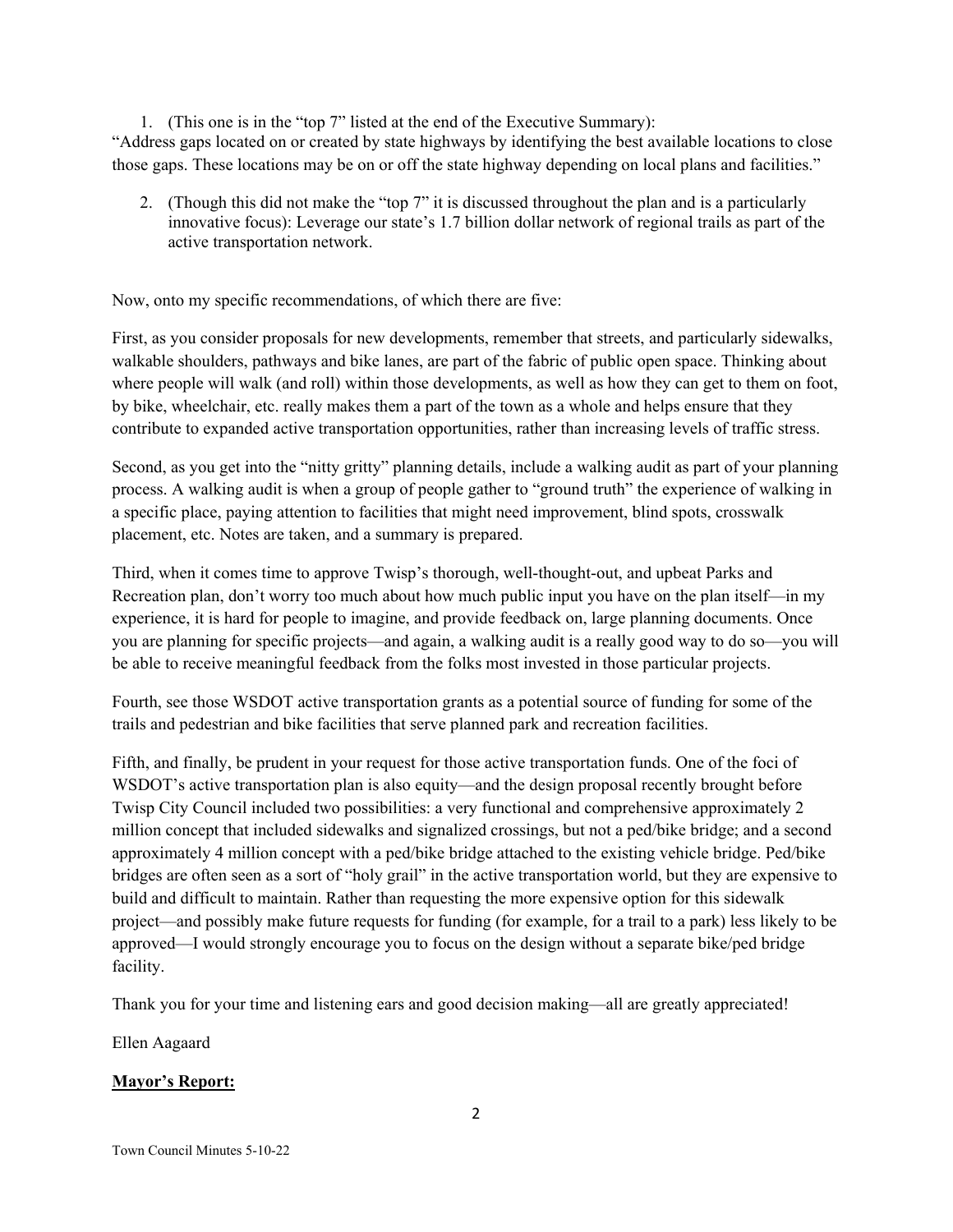1. (This one is in the "top 7" listed at the end of the Executive Summary): "Address gaps located on or created by state highways by identifying the best available locations to close those gaps. These locations may be on or off the state highway depending on local plans and facilities."

2. (Though this did not make the "top 7" it is discussed throughout the plan and is a particularly innovative focus): Leverage our state's 1.7 billion dollar network of regional trails as part of the active transportation network.

Now, onto my specific recommendations, of which there are five:

First, as you consider proposals for new developments, remember that streets, and particularly sidewalks, walkable shoulders, pathways and bike lanes, are part of the fabric of public open space. Thinking about where people will walk (and roll) within those developments, as well as how they can get to them on foot, by bike, wheelchair, etc. really makes them a part of the town as a whole and helps ensure that they contribute to expanded active transportation opportunities, rather than increasing levels of traffic stress.

Second, as you get into the "nitty gritty" planning details, include a walking audit as part of your planning process. A walking audit is when a group of people gather to "ground truth" the experience of walking in a specific place, paying attention to facilities that might need improvement, blind spots, crosswalk placement, etc. Notes are taken, and a summary is prepared.

Third, when it comes time to approve Twisp's thorough, well-thought-out, and upbeat Parks and Recreation plan, don't worry too much about how much public input you have on the plan itself—in my experience, it is hard for people to imagine, and provide feedback on, large planning documents. Once you are planning for specific projects—and again, a walking audit is a really good way to do so—you will be able to receive meaningful feedback from the folks most invested in those particular projects.

Fourth, see those WSDOT active transportation grants as a potential source of funding for some of the trails and pedestrian and bike facilities that serve planned park and recreation facilities.

Fifth, and finally, be prudent in your request for those active transportation funds. One of the foci of WSDOT's active transportation plan is also equity—and the design proposal recently brought before Twisp City Council included two possibilities: a very functional and comprehensive approximately 2 million concept that included sidewalks and signalized crossings, but not a ped/bike bridge; and a second approximately 4 million concept with a ped/bike bridge attached to the existing vehicle bridge. Ped/bike bridges are often seen as a sort of "holy grail" in the active transportation world, but they are expensive to build and difficult to maintain. Rather than requesting the more expensive option for this sidewalk project—and possibly make future requests for funding (for example, for a trail to a park) less likely to be approved—I would strongly encourage you to focus on the design without a separate bike/ped bridge facility.

Thank you for your time and listening ears and good decision making—all are greatly appreciated!

Ellen Aagaard

# **Mayor's Report:**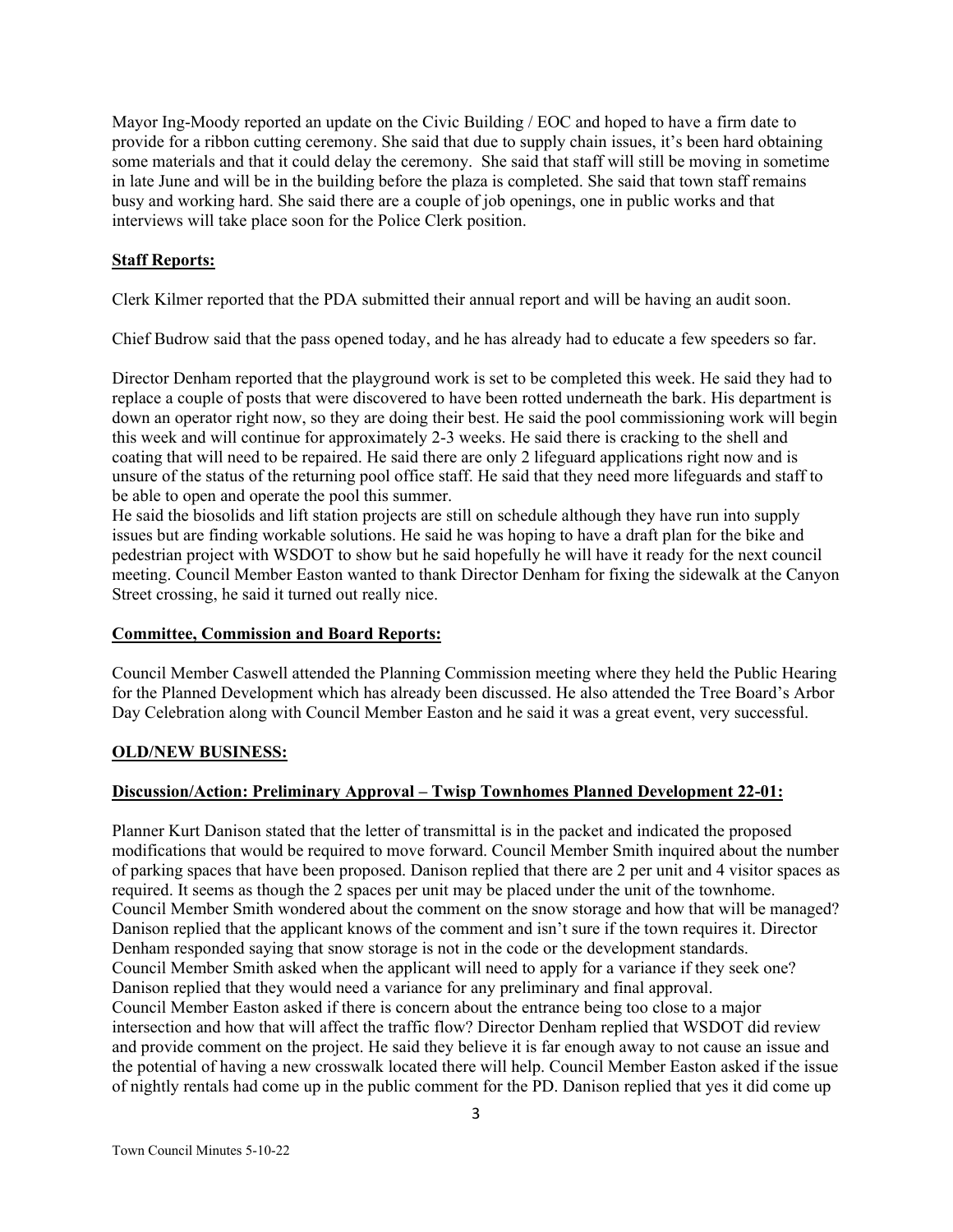Mayor Ing-Moody reported an update on the Civic Building / EOC and hoped to have a firm date to provide for a ribbon cutting ceremony. She said that due to supply chain issues, it's been hard obtaining some materials and that it could delay the ceremony. She said that staff will still be moving in sometime in late June and will be in the building before the plaza is completed. She said that town staff remains busy and working hard. She said there are a couple of job openings, one in public works and that interviews will take place soon for the Police Clerk position.

# **Staff Reports:**

Clerk Kilmer reported that the PDA submitted their annual report and will be having an audit soon.

Chief Budrow said that the pass opened today, and he has already had to educate a few speeders so far.

Director Denham reported that the playground work is set to be completed this week. He said they had to replace a couple of posts that were discovered to have been rotted underneath the bark. His department is down an operator right now, so they are doing their best. He said the pool commissioning work will begin this week and will continue for approximately 2-3 weeks. He said there is cracking to the shell and coating that will need to be repaired. He said there are only 2 lifeguard applications right now and is unsure of the status of the returning pool office staff. He said that they need more lifeguards and staff to be able to open and operate the pool this summer.

He said the biosolids and lift station projects are still on schedule although they have run into supply issues but are finding workable solutions. He said he was hoping to have a draft plan for the bike and pedestrian project with WSDOT to show but he said hopefully he will have it ready for the next council meeting. Council Member Easton wanted to thank Director Denham for fixing the sidewalk at the Canyon Street crossing, he said it turned out really nice.

## **Committee, Commission and Board Reports:**

Council Member Caswell attended the Planning Commission meeting where they held the Public Hearing for the Planned Development which has already been discussed. He also attended the Tree Board's Arbor Day Celebration along with Council Member Easton and he said it was a great event, very successful.

## **OLD/NEW BUSINESS:**

## **Discussion/Action: Preliminary Approval – Twisp Townhomes Planned Development 22-01:**

Planner Kurt Danison stated that the letter of transmittal is in the packet and indicated the proposed modifications that would be required to move forward. Council Member Smith inquired about the number of parking spaces that have been proposed. Danison replied that there are 2 per unit and 4 visitor spaces as required. It seems as though the 2 spaces per unit may be placed under the unit of the townhome. Council Member Smith wondered about the comment on the snow storage and how that will be managed? Danison replied that the applicant knows of the comment and isn't sure if the town requires it. Director Denham responded saying that snow storage is not in the code or the development standards. Council Member Smith asked when the applicant will need to apply for a variance if they seek one? Danison replied that they would need a variance for any preliminary and final approval. Council Member Easton asked if there is concern about the entrance being too close to a major intersection and how that will affect the traffic flow? Director Denham replied that WSDOT did review and provide comment on the project. He said they believe it is far enough away to not cause an issue and the potential of having a new crosswalk located there will help. Council Member Easton asked if the issue of nightly rentals had come up in the public comment for the PD. Danison replied that yes it did come up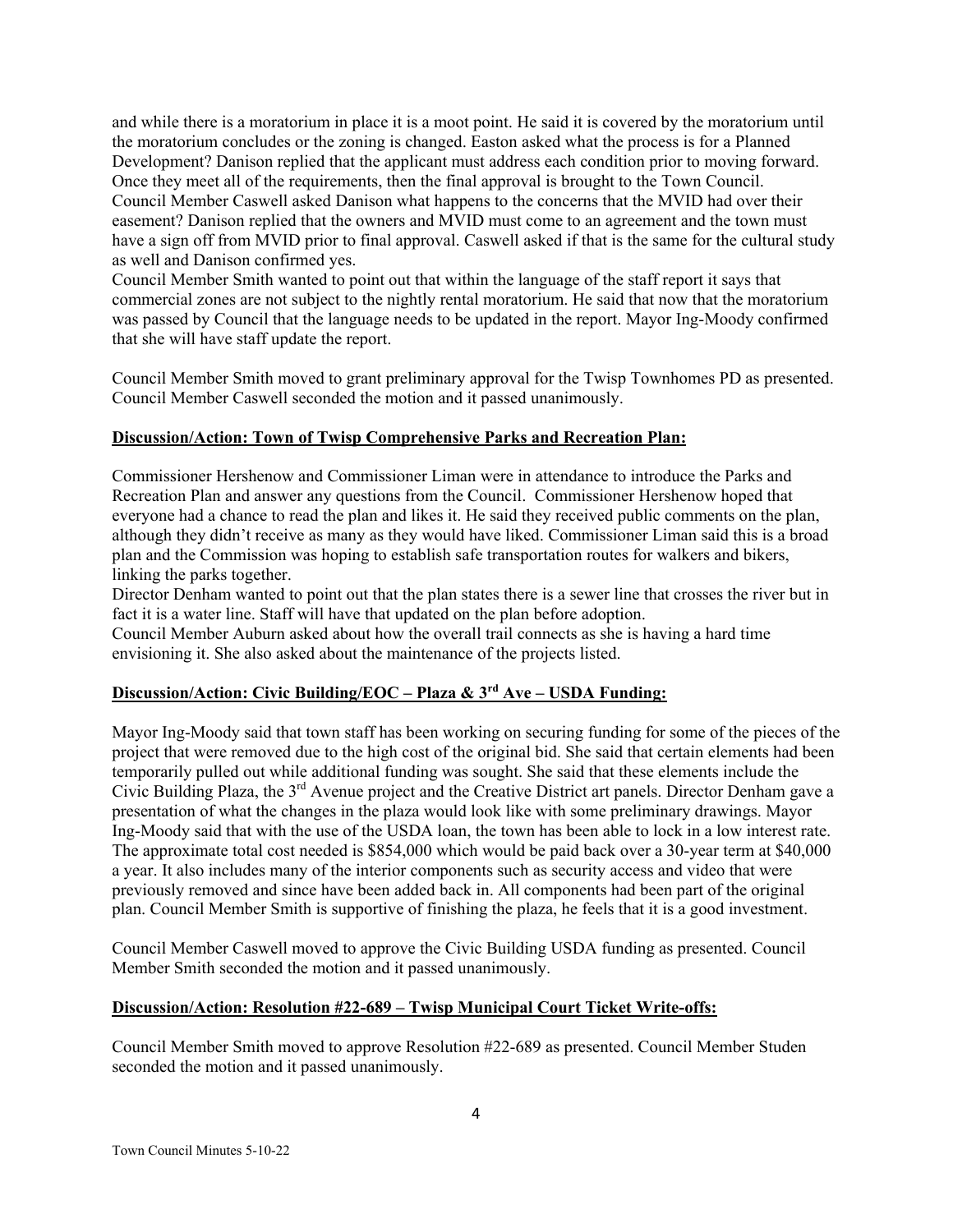and while there is a moratorium in place it is a moot point. He said it is covered by the moratorium until the moratorium concludes or the zoning is changed. Easton asked what the process is for a Planned Development? Danison replied that the applicant must address each condition prior to moving forward. Once they meet all of the requirements, then the final approval is brought to the Town Council. Council Member Caswell asked Danison what happens to the concerns that the MVID had over their easement? Danison replied that the owners and MVID must come to an agreement and the town must have a sign off from MVID prior to final approval. Caswell asked if that is the same for the cultural study as well and Danison confirmed yes.

Council Member Smith wanted to point out that within the language of the staff report it says that commercial zones are not subject to the nightly rental moratorium. He said that now that the moratorium was passed by Council that the language needs to be updated in the report. Mayor Ing-Moody confirmed that she will have staff update the report.

Council Member Smith moved to grant preliminary approval for the Twisp Townhomes PD as presented. Council Member Caswell seconded the motion and it passed unanimously.

#### **Discussion/Action: Town of Twisp Comprehensive Parks and Recreation Plan:**

Commissioner Hershenow and Commissioner Liman were in attendance to introduce the Parks and Recreation Plan and answer any questions from the Council. Commissioner Hershenow hoped that everyone had a chance to read the plan and likes it. He said they received public comments on the plan, although they didn't receive as many as they would have liked. Commissioner Liman said this is a broad plan and the Commission was hoping to establish safe transportation routes for walkers and bikers, linking the parks together.

Director Denham wanted to point out that the plan states there is a sewer line that crosses the river but in fact it is a water line. Staff will have that updated on the plan before adoption.

Council Member Auburn asked about how the overall trail connects as she is having a hard time envisioning it. She also asked about the maintenance of the projects listed.

## **Discussion/Action: Civic Building/EOC – Plaza & 3rd Ave – USDA Funding:**

Mayor Ing-Moody said that town staff has been working on securing funding for some of the pieces of the project that were removed due to the high cost of the original bid. She said that certain elements had been temporarily pulled out while additional funding was sought. She said that these elements include the Civic Building Plaza, the 3rd Avenue project and the Creative District art panels. Director Denham gave a presentation of what the changes in the plaza would look like with some preliminary drawings. Mayor Ing-Moody said that with the use of the USDA loan, the town has been able to lock in a low interest rate. The approximate total cost needed is \$854,000 which would be paid back over a 30-year term at \$40,000 a year. It also includes many of the interior components such as security access and video that were previously removed and since have been added back in. All components had been part of the original plan. Council Member Smith is supportive of finishing the plaza, he feels that it is a good investment.

Council Member Caswell moved to approve the Civic Building USDA funding as presented. Council Member Smith seconded the motion and it passed unanimously.

## **Discussion/Action: Resolution #22-689 – Twisp Municipal Court Ticket Write-offs:**

Council Member Smith moved to approve Resolution #22-689 as presented. Council Member Studen seconded the motion and it passed unanimously.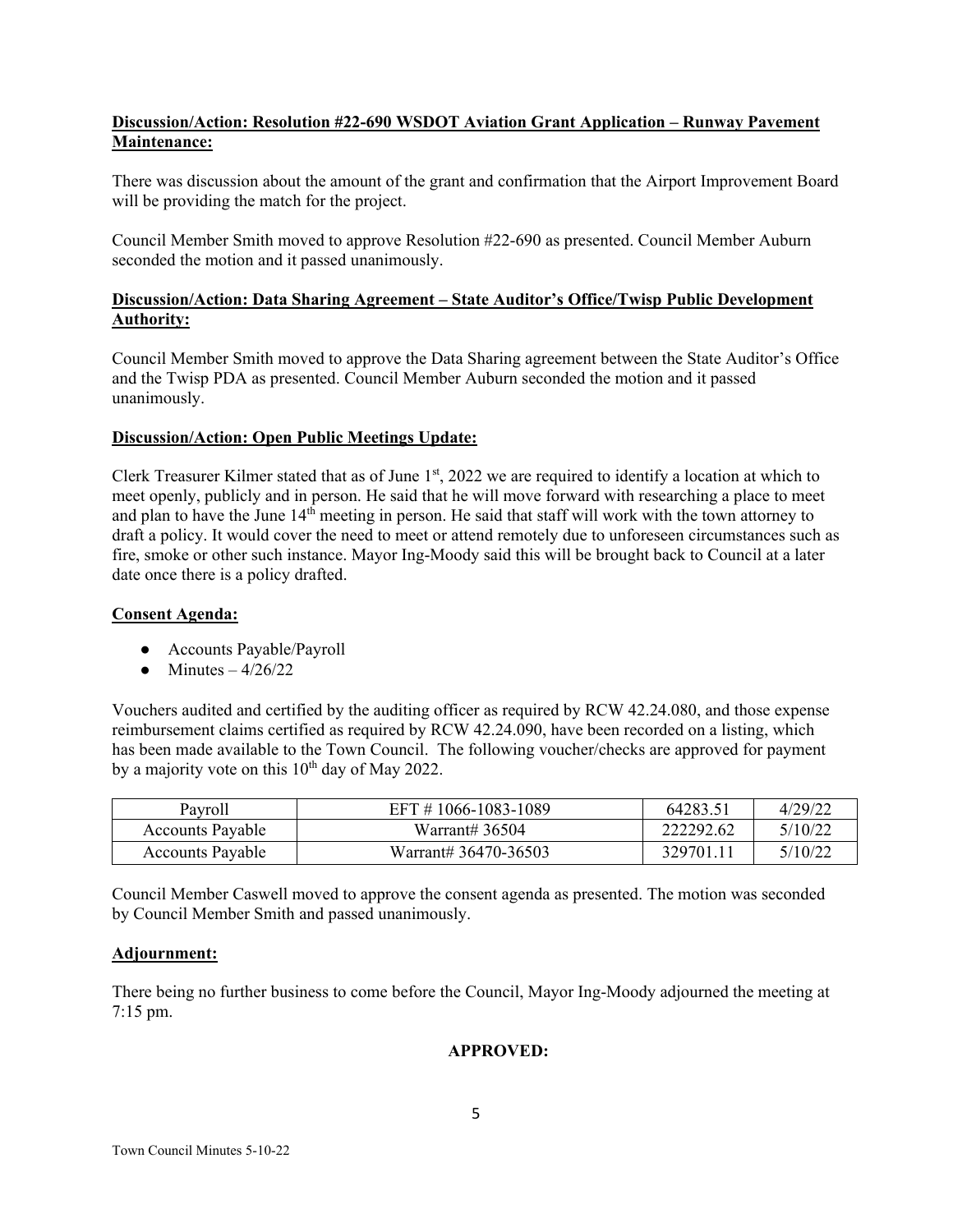# **Discussion/Action: Resolution #22-690 WSDOT Aviation Grant Application – Runway Pavement Maintenance:**

There was discussion about the amount of the grant and confirmation that the Airport Improvement Board will be providing the match for the project.

Council Member Smith moved to approve Resolution #22-690 as presented. Council Member Auburn seconded the motion and it passed unanimously.

# **Discussion/Action: Data Sharing Agreement – State Auditor's Office/Twisp Public Development Authority:**

Council Member Smith moved to approve the Data Sharing agreement between the State Auditor's Office and the Twisp PDA as presented. Council Member Auburn seconded the motion and it passed unanimously.

# **Discussion/Action: Open Public Meetings Update:**

Clerk Treasurer Kilmer stated that as of June  $1<sup>st</sup>$ , 2022 we are required to identify a location at which to meet openly, publicly and in person. He said that he will move forward with researching a place to meet and plan to have the June  $14<sup>th</sup>$  meeting in person. He said that staff will work with the town attorney to draft a policy. It would cover the need to meet or attend remotely due to unforeseen circumstances such as fire, smoke or other such instance. Mayor Ing-Moody said this will be brought back to Council at a later date once there is a policy drafted.

## **Consent Agenda:**

- Accounts Payable/Payroll
- Minutes  $-4/26/22$

Vouchers audited and certified by the auditing officer as required by RCW 42.24.080, and those expense reimbursement claims certified as required by RCW 42.24.090, have been recorded on a listing, which has been made available to the Town Council. The following voucher/checks are approved for payment by a majority vote on this  $10^{th}$  day of May 2022.

| Pavroll                 | EFT #1066-1083-1089  | 64283.51  | 4/29/22 |
|-------------------------|----------------------|-----------|---------|
| <b>Accounts Payable</b> | Warrant# 36504       | 222292.62 | 5/10/22 |
| <b>Accounts Payable</b> | Warrant# 36470-36503 | 329701.   | 5/10/22 |

Council Member Caswell moved to approve the consent agenda as presented. The motion was seconded by Council Member Smith and passed unanimously.

# **Adjournment:**

There being no further business to come before the Council, Mayor Ing-Moody adjourned the meeting at 7:15 pm.

# **APPROVED:**